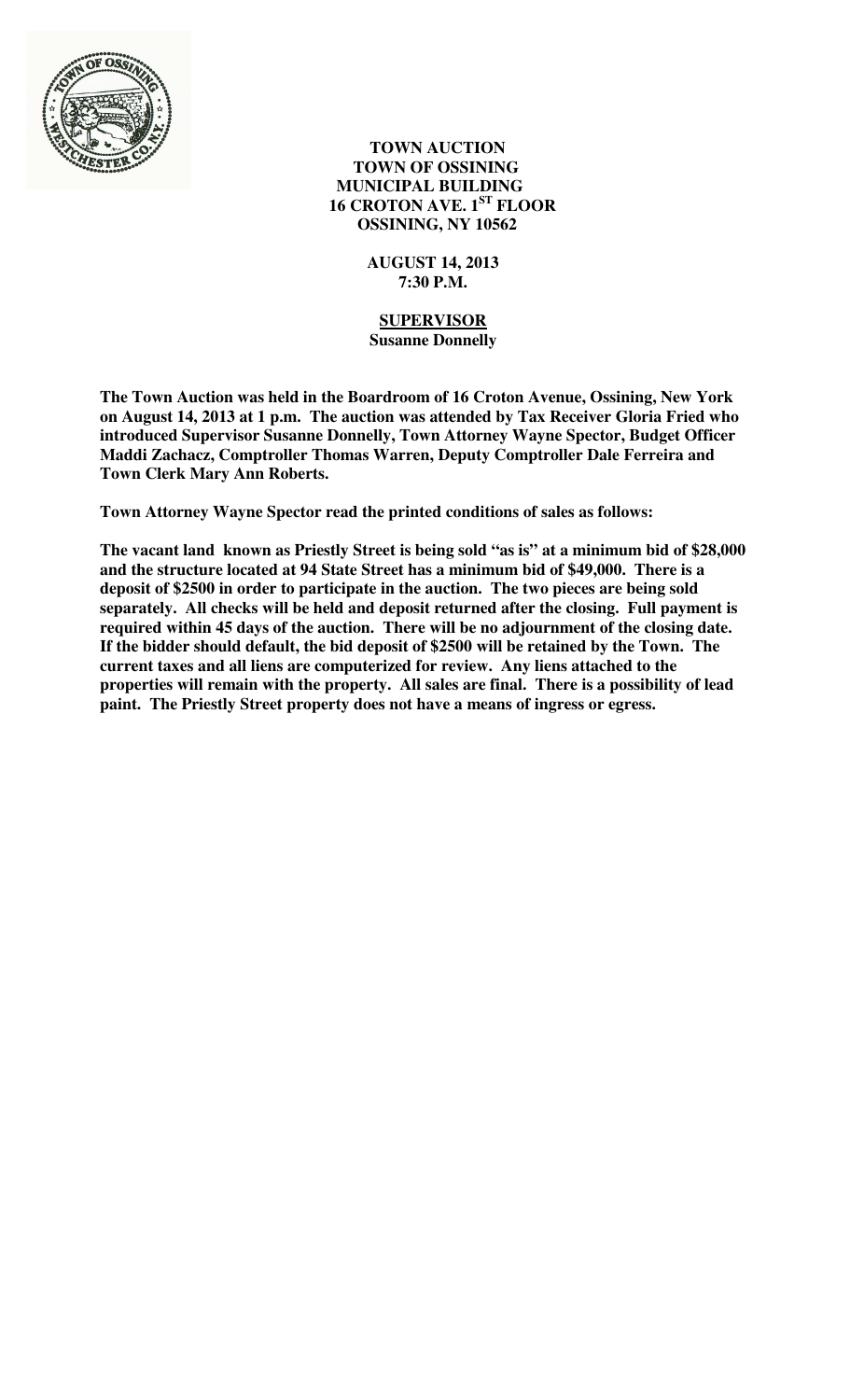

 **TOWN AUCTION TOWN OF OSSINING MUNICIPAL BUILDING 16 CROTON AVE. 1ST FLOOR OSSINING, NY 10562** 

> **AUGUST 14, 2013 7:30 P.M.**

 **SUPERVISOR Susanne Donnelly** 

**The Town Auction was held in the Boardroom of 16 Croton Avenue, Ossining, New York on August 14, 2013 at 1 p.m. The auction was attended by Tax Receiver Gloria Fried who introduced Supervisor Susanne Donnelly, Town Attorney Wayne Spector, Budget Officer Maddi Zachacz, Comptroller Thomas Warren, Deputy Comptroller Dale Ferreira and Town Clerk Mary Ann Roberts.** 

**Town Attorney Wayne Spector read the printed conditions of sales as follows:** 

**The vacant land known as Priestly Street is being sold "as is" at a minimum bid of \$28,000 and the structure located at 94 State Street has a minimum bid of \$49,000. There is a deposit of \$2500 in order to participate in the auction. The two pieces are being sold separately. All checks will be held and deposit returned after the closing. Full payment is required within 45 days of the auction. There will be no adjournment of the closing date. If the bidder should default, the bid deposit of \$2500 will be retained by the Town. The current taxes and all liens are computerized for review. Any liens attached to the properties will remain with the property. All sales are final. There is a possibility of lead paint. The Priestly Street property does not have a means of ingress or egress.**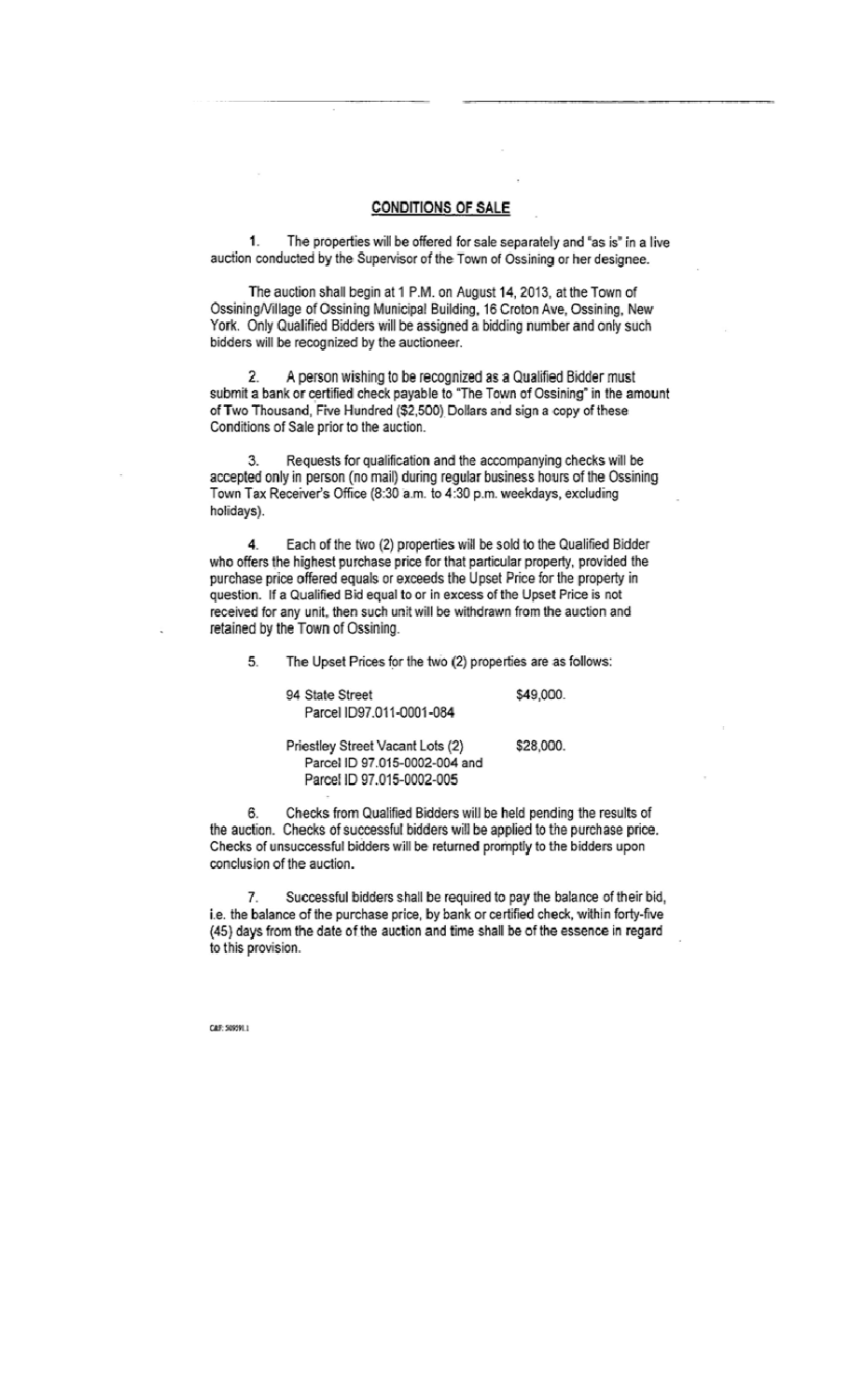## **CONDITIONS OF SALE**

1. The properties will be offered for sale separately and "as is" in a live auction conducted by the Supervisor of the Town of Ossining or her designee.

The auction shall begin at 1 P.M. on August 14, 2013, at the Town of Ossining/Village of Ossining Municipal Building, 16 Croton Ave, Ossining, New York. Only Qualified Bidders will be assigned a bidding number and only such bidders will be recognized by the auctioneer.

A person wishing to be recognized as a Qualified Bidder must 2. submit a bank or certified check payable to "The Town of Ossining" in the amount of Two Thousand, Five Hundred (\$2,500) Dollars and sign a copy of these Conditions of Sale prior to the auction.

Requests for qualification and the accompanying checks will be 3. accepted only in person (no mail) during regular business hours of the Ossining Town Tax Receiver's Office (8:30 a.m. to 4:30 p.m. weekdays, excluding holidays).

4. Each of the two (2) properties will be sold to the Qualified Bidder who offers the highest purchase price for that particular property, provided the purchase price offered equals or exceeds the Upset Price for the property in question. If a Qualified Bid equal to or in excess of the Upset Price is not received for any unit, then such unit will be withdrawn from the auction and retained by the Town of Ossining.

5. The Upset Prices for the two (2) properties are as follows:

| 94 State Street                  | \$49,000. |
|----------------------------------|-----------|
| Parcel ID97.011-0001-084         |           |
|                                  |           |
| Priestley Street Vacant Lots (2) | \$28,000. |
| Parcel ID 97.015-0002-004 and    |           |
| Parcel ID 97.015-0002-005        |           |

Checks from Qualified Bidders will be held pending the results of 6. the auction. Checks of successful bidders will be applied to the purchase price. Checks of unsuccessful bidders will be returned promptly to the bidders upon conclusion of the auction.

Successful bidders shall be required to pay the balance of their bid,  $\overline{r}$ i.e. the balance of the purchase price, by bank or certified check, within forty-five (45) days from the date of the auction and time shall be of the essence in regard to this provision.

CAF: 50091.1